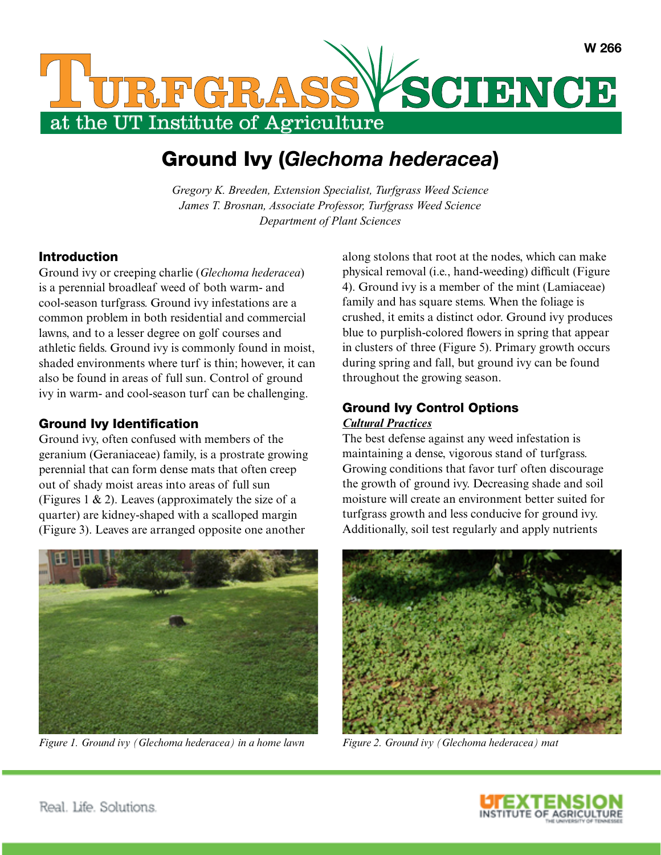

# Ground Ivy (*Glechoma hederacea*)

*Gregory K. Breeden, Extension Specialist, Turfgrass Weed Science James T. Brosnan, Associate Professor, Turfgrass Weed Science Department of Plant Sciences*

### Introduction

Ground ivy or creeping charlie (*Glechoma hederacea*) is a perennial broadleaf weed of both warm- and cool-season turfgrass. Ground ivy infestations are a common problem in both residential and commercial lawns, and to a lesser degree on golf courses and athletic fields. Ground ivy is commonly found in moist, shaded environments where turf is thin; however, it can also be found in areas of full sun. Control of ground ivy in warm- and cool-season turf can be challenging.

#### Ground Ivy Identification

Ground ivy, often confused with members of the geranium (Geraniaceae) family, is a prostrate growing perennial that can form dense mats that often creep out of shady moist areas into areas of full sun (Figures 1  $\&$  2). Leaves (approximately the size of a quarter) are kidney-shaped with a scalloped margin (Figure 3). Leaves are arranged opposite one another



*Figure 1. Ground ivy (Glechoma hederacea) in a home lawn Figure 2. Ground ivy (Glechoma hederacea) mat*

along stolons that root at the nodes, which can make physical removal (i.e., hand-weeding) difficult (Figure 4). Ground ivy is a member of the mint (Lamiaceae) family and has square stems. When the foliage is crushed, it emits a distinct odor. Ground ivy produces blue to purplish-colored flowers in spring that appear in clusters of three (Figure 5). Primary growth occurs during spring and fall, but ground ivy can be found throughout the growing season.

## Ground Ivy Control Options

#### *Cultural Practices*

The best defense against any weed infestation is maintaining a dense, vigorous stand of turfgrass. Growing conditions that favor turf often discourage the growth of ground ivy. Decreasing shade and soil moisture will create an environment better suited for turfgrass growth and less conducive for ground ivy. Additionally, soil test regularly and apply nutrients



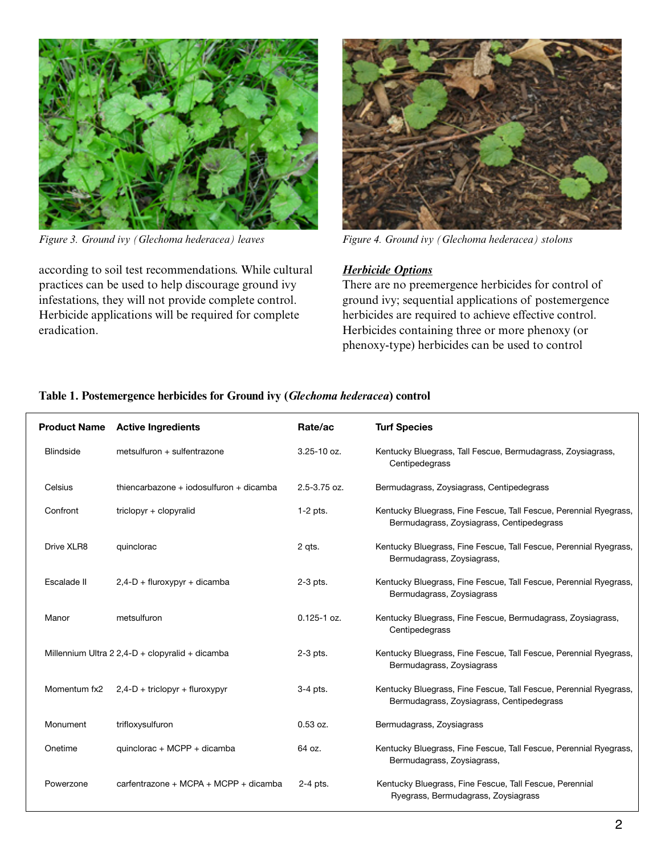

according to soil test recommendations. While cultural practices can be used to help discourage ground ivy infestations, they will not provide complete control. Herbicide applications will be required for complete eradication.



*Figure 3. Ground ivy (Glechoma hederacea) leaves Figure 4. Ground ivy (Glechoma hederacea) stolons* 

#### *Herbicide Options*

There are no preemergence herbicides for control of ground ivy; sequential applications of postemergence herbicides are required to achieve effective control. Herbicides containing three or more phenoxy (or phenoxy-type) herbicides can be used to control

|                  |                                         | Rate/ac                                                                                   | <b>Turf Species</b>                                                                                            |
|------------------|-----------------------------------------|-------------------------------------------------------------------------------------------|----------------------------------------------------------------------------------------------------------------|
| <b>Blindside</b> | metsulfuron + sulfentrazone             | $3.25 - 10$ oz.                                                                           | Kentucky Bluegrass, Tall Fescue, Bermudagrass, Zoysiagrass,<br>Centipedegrass                                  |
| Celsius          | thiencarbazone + iodosulfuron + dicamba | 2.5-3.75 oz.                                                                              | Bermudagrass, Zoysiagrass, Centipedegrass                                                                      |
| Confront         | triclopyr + clopyralid                  | $1-2$ pts.                                                                                | Kentucky Bluegrass, Fine Fescue, Tall Fescue, Perennial Ryegrass,<br>Bermudagrass, Zoysiagrass, Centipedegrass |
| Drive XLR8       | quinclorac                              | 2 qts.                                                                                    | Kentucky Bluegrass, Fine Fescue, Tall Fescue, Perennial Ryegrass,<br>Bermudagrass, Zoysiagrass,                |
| Escalade II      | $2,4-D + flux$ fluroxypyr + dicamba     | $2-3$ pts.                                                                                | Kentucky Bluegrass, Fine Fescue, Tall Fescue, Perennial Ryegrass,<br>Bermudagrass, Zoysiagrass                 |
| Manor            | metsulfuron                             | $0.125 - 1$ oz.                                                                           | Kentucky Bluegrass, Fine Fescue, Bermudagrass, Zoysiagrass,<br>Centipedegrass                                  |
|                  |                                         | $2-3$ pts.                                                                                | Kentucky Bluegrass, Fine Fescue, Tall Fescue, Perennial Ryegrass,<br>Bermudagrass, Zoysiagrass                 |
| Momentum fx2     | $2,4$ -D + triclopyr + fluroxypyr       | 3-4 pts.                                                                                  | Kentucky Bluegrass, Fine Fescue, Tall Fescue, Perennial Ryegrass,<br>Bermudagrass, Zoysiagrass, Centipedegrass |
| Monument         | trifloxysulfuron                        | $0.53$ oz.                                                                                | Bermudagrass, Zoysiagrass                                                                                      |
| Onetime          | quinclorac + MCPP + dicamba             | 64 oz.                                                                                    | Kentucky Bluegrass, Fine Fescue, Tall Fescue, Perennial Ryegrass,<br>Bermudagrass, Zoysiagrass,                |
| Powerzone        | carfentrazone + MCPA + MCPP + dicamba   | 2-4 pts.                                                                                  | Kentucky Bluegrass, Fine Fescue, Tall Fescue, Perennial<br>Ryegrass, Bermudagrass, Zoysiagrass                 |
|                  |                                         | <b>Product Name Active Ingredients</b><br>Millennium Ultra 2 2,4-D + clopyralid + dicamba |                                                                                                                |

#### **Table 1. Postemergence herbicides for Ground ivy (***Glechoma hederacea***) control**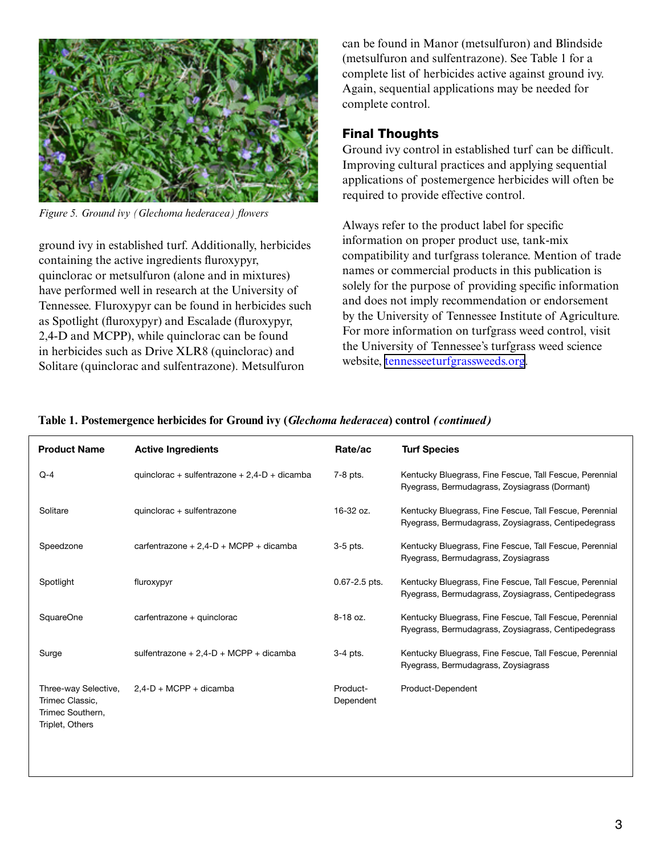

*Figure 5. Ground ivy (Glechoma hederacea) flowers*

ground ivy in established turf. Additionally, herbicides containing the active ingredients fluroxypyr, quinclorac or metsulfuron (alone and in mixtures) have performed well in research at the University of Tennessee. Fluroxypyr can be found in herbicides such as Spotlight (fluroxypyr) and Escalade (fluroxypyr, 2,4-D and MCPP), while quinclorac can be found in herbicides such as Drive XLR8 (quinclorac) and Solitare (quinclorac and sulfentrazone). Metsulfuron

can be found in Manor (metsulfuron) and Blindside (metsulfuron and sulfentrazone). See Table 1 for a complete list of herbicides active against ground ivy. Again, sequential applications may be needed for complete control.

### Final Thoughts

Ground ivy control in established turf can be difficult. Improving cultural practices and applying sequential applications of postemergence herbicides will often be required to provide effective control.

Always refer to the product label for specific information on proper product use, tank-mix compatibility and turfgrass tolerance. Mention of trade names or commercial products in this publication is solely for the purpose of providing specific information and does not imply recommendation or endorsement by the University of Tennessee Institute of Agriculture. For more information on turfgrass weed control, visit the University of Tennessee's turfgrass weed science website, [tennesseeturfgrassweeds.org](http://tennesseeturfgrassweeds.org).

| <b>Product Name</b>                                                            | <b>Active Ingredients</b>                      | Rate/ac               | <b>Turf Species</b>                                                                                            |
|--------------------------------------------------------------------------------|------------------------------------------------|-----------------------|----------------------------------------------------------------------------------------------------------------|
| $Q-4$                                                                          | quinclorac + sulfentrazone + $2,4-D$ + dicamba | 7-8 pts.              | Kentucky Bluegrass, Fine Fescue, Tall Fescue, Perennial<br>Ryegrass, Bermudagrass, Zoysiagrass (Dormant)       |
| Solitare                                                                       | quinclorac + sulfentrazone                     | 16-32 oz.             | Kentucky Bluegrass, Fine Fescue, Tall Fescue, Perennial<br>Ryegrass, Bermudagrass, Zoysiagrass, Centipedegrass |
| Speedzone                                                                      | carfentrazone + $2,4$ -D + MCPP + dicamba      | $3-5$ pts.            | Kentucky Bluegrass, Fine Fescue, Tall Fescue, Perennial<br>Ryegrass, Bermudagrass, Zoysiagrass                 |
| Spotlight                                                                      | fluroxypyr                                     | $0.67 - 2.5$ pts.     | Kentucky Bluegrass, Fine Fescue, Tall Fescue, Perennial<br>Ryegrass, Bermudagrass, Zoysiagrass, Centipedegrass |
| <b>SquareOne</b>                                                               | carfentrazone + quinclorac                     | 8-18 oz.              | Kentucky Bluegrass, Fine Fescue, Tall Fescue, Perennial<br>Ryegrass, Bermudagrass, Zoysiagrass, Centipedegrass |
| Surge                                                                          | sulfentrazone + $2,4-D$ + MCPP + dicamba       | $3-4$ pts.            | Kentucky Bluegrass, Fine Fescue, Tall Fescue, Perennial<br>Ryegrass, Bermudagrass, Zoysiagrass                 |
| Three-way Selective,<br>Trimec Classic,<br>Trimec Southern,<br>Triplet, Others | $2.4-D + MCPP + dicamba$                       | Product-<br>Dependent | Product-Dependent                                                                                              |

#### **Table 1. Postemergence herbicides for Ground ivy (***Glechoma hederacea***) control** *(continued)*